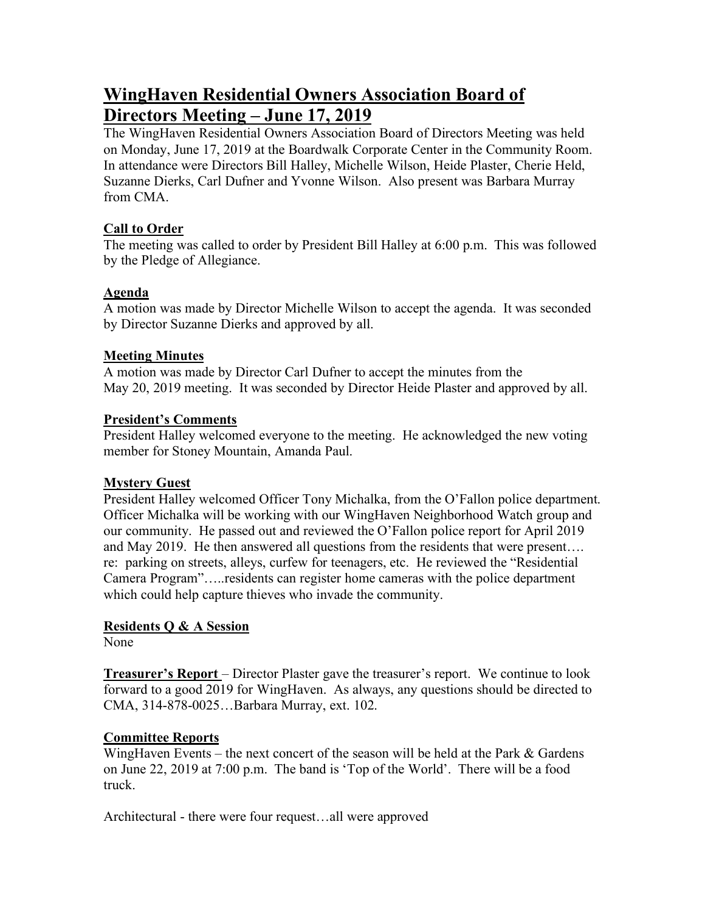# **WingHaven Residential Owners Association Board of Directors Meeting – June 17, 2019**

The WingHaven Residential Owners Association Board of Directors Meeting was held on Monday, June 17, 2019 at the Boardwalk Corporate Center in the Community Room. In attendance were Directors Bill Halley, Michelle Wilson, Heide Plaster, Cherie Held, Suzanne Dierks, Carl Dufner and Yvonne Wilson. Also present was Barbara Murray from CMA.

### **Call to Order**

The meeting was called to order by President Bill Halley at 6:00 p.m. This was followed by the Pledge of Allegiance.

# **Agenda**

A motion was made by Director Michelle Wilson to accept the agenda. It was seconded by Director Suzanne Dierks and approved by all.

# **Meeting Minutes**

A motion was made by Director Carl Dufner to accept the minutes from the May 20, 2019 meeting. It was seconded by Director Heide Plaster and approved by all.

# **President's Comments**

President Halley welcomed everyone to the meeting. He acknowledged the new voting member for Stoney Mountain, Amanda Paul.

# **Mystery Guest**

President Halley welcomed Officer Tony Michalka, from the O'Fallon police department. Officer Michalka will be working with our WingHaven Neighborhood Watch group and our community. He passed out and reviewed the O'Fallon police report for April 2019 and May 2019. He then answered all questions from the residents that were present…. re: parking on streets, alleys, curfew for teenagers, etc. He reviewed the "Residential Camera Program"…..residents can register home cameras with the police department which could help capture thieves who invade the community.

# **Residents Q & A Session**

None

**Treasurer's Report** – Director Plaster gave the treasurer's report. We continue to look forward to a good 2019 for WingHaven. As always, any questions should be directed to CMA, 314-878-0025…Barbara Murray, ext. 102.

# **Committee Reports**

WingHaven Events – the next concert of the season will be held at the Park  $&$  Gardens on June 22, 2019 at 7:00 p.m. The band is 'Top of the World'. There will be a food truck.

Architectural - there were four request…all were approved